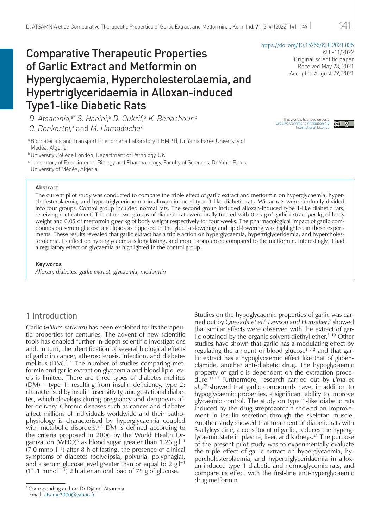# Comparative Therapeutic Properties of Garlic Extract and Metformin on Hyperglycaemia, Hypercholesterolaemia, and Hypertriglyceridaemia in Alloxan-induced Type1-like Diabetic Rats

<https://doi.org/10.15255/KUI.2021.035> KUI-11/2022 Original scientific paper Received May 23, 2021 Accepted August 29, 2021

D. Atsamnia,ª\* S. Hanini,ª D. Oukrif,ʰ K. Benachour,° 0. Benkortbi,ª and M. Hamadacheª

aBiomaterials and Transport Phenomena Laboratory (LBMPT), Dr Yahia Fares University of Médéa, Algeria

**b University College London, Department of Pathology, UK** 

c Laboratory of Experimental Biology and Pharmacology, Faculty of Sciences, Dr Yahia Fares

University of Médéa, Algeria

#### Abstract

The current pilot study was conducted to compare the triple effect of garlic extract and metformin on hyperglycaemia, hypercholesterolaemia, and hypertriglyceridaemia in alloxan-induced type 1-like diabetic rats. Wistar rats were randomly divided into four groups. Control group included normal rats. The second group included alloxan-induced type 1-like diabetic rats, receiving no treatment. The other two groups of diabetic rats were orally treated with 0.75 g of garlic extract *per* kg of body weight and 0.05 of metformin g *per* kg of body weight respectively for four weeks. The pharmacological impact of garlic compounds on serum glucose and lipids as opposed to the glucose-lowering and lipid-lowering was highlighted in these experiments. These results revealed that garlic extract has a triple action on hyperglycaemia, hypertriglyceridemia, and hypercholesterolemia. Its effect on hyperglycaemia is long lasting, and more pronounced compared to the metformin. Interestingly, it had a regulatory effect on glycaemia as highlighted in the control group.

#### Keywords

*Alloxan, diabetes, garlic extract, glycaemia, metformin*

# 1 Introduction

Garlic (*Allium sativum*) has been exploited for its therapeutic properties for centuries. The advent of new scientific tools has enabled further in-depth scientific investigations and, in turn, the identification of several biological effects of garlic in cancer, atherosclerosis, infection, and diabetes mellitus  $(DM).<sup>1-4</sup>$  The number of studies comparing metformin and garlic extract on glycaemia and blood lipid levels is limited. There are three types of diabetes mellitus (DM) – type 1: resulting from insulin deficiency, type 2: characterised by insulin insensitivity, and gestational diabetes, which develops during pregnancy and disappears after delivery. Chronic diseases such as cancer and diabetes affect millions of individuals worldwide and their pathophysiology is characterised by hyperglycaemia coupled with metabolic disorders.<sup>3,4</sup> DM is defined according to the criteria proposed in 2006 by the World Health Organization (WHO) $^5$  as blood sugar greater than 1.26 g l $^{-1}$  $(7.0 \text{ mmol } I^{-1})$  after 8 h of fasting, the presence of clinical symptoms of diabetes (polydipsia, polyuria, polyphagia), and a serum glucose level greater than or equal to 2 g l $^{\rm -1}$  $(11.1 \text{ mmol } I^{-1})$  2 h after an oral load of 75 g of glucose.

Studies on the hypoglycaemic properties of garlic was carried out by *Quesada et al.*<sup>6</sup> *Lawson and Hunsaker*, 7 showed that similar effects were observed with the extract of garlic obtained by the organic solvent diethyl ether. $8-10$  Other studies have shown that garlic has a modulating effect by regulating the amount of blood glucose<sup>11,12</sup> and that garlic extract has a hypoglycaemic effect like that of glibenclamide, another anti-diabetic drug. The hypoglycaemic property of garlic is dependent on the extraction procedure.13,19 Furthermore, research carried out by *Lima et al.*, 20 showed that garlic compounds have, in addition to hypoglycaemic properties, a significant ability to improve glycaemic control. The study on type 1-like diabetic rats induced by the drug streptozotocin showed an improvement in insulin secretion through the skeleton muscle. Another study showed that treatment of diabetic rats with S-allylcysteine, a constituent of garlic, reduces the hyperglycaemic state in plasma, liver, and kidneys.<sup>21</sup> The purpose of the present pilot study was to experimentally evaluate the triple effect of garlic extract on hyperglycaemia, hypercholesterolaemia, and hypertriglyceridaemia in alloxan-induced type 1 diabetic and normoglycemic rats, and compare its effect with the first-line anti-hyperglycaemic drug metformin.

[This work is licensed under a Creative Commons Attribution 4.0 International License](http://creativecommons.org/licenses/by/4.0/)

 $\circledcirc$ 

<sup>\*</sup> Corresponding author: Dr Djamel Atsamnia Email: [atsame2000@yahoo.fr](mailto:atsame2000%40yahoo.fr?subject=)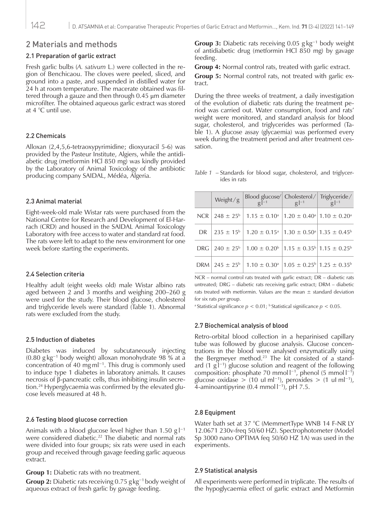### 2 Materials and methods

### 2.1 Preparation of garlic extract

Fresh garlic bulbs (*A. sativum* L.) were collected in the region of Benchicaou. The cloves were peeled, sliced, and ground into a paste, and suspended in distilled water for 24 h at room temperature. The macerate obtained was filtered through a gauze and then through 0.45 μm diameter microfilter. The obtained aqueous garlic extract was stored at 4 °C until use.

### 2.2 Chemicals

Alloxan (2,4,5,6-tetraoxypyrimidine; dioxyuracil 5-6) was provided by the Pasteur Institute, Algiers, while the antidiabetic drug (metformin HCl 850 mg) was kindly provided by the Laboratory of Animal Toxicology of the antibiotic producing company SAIDAL, Médéa, Algeria.

### 2.3 Animal material

Eight-week-old male Wistar rats were purchased from the National Centre for Research and Development of El-Harrach (CRD) and housed in the SAIDAL Animal Toxicology Laboratory with free access to water and standard rat food. The rats were left to adapt to the new environment for one week before starting the experiments.

### 2.4 Selection criteria

Healthy adult (eight weeks old) male Wistar albino rats aged between 2 and 3 months and weighing 200–260 g were used for the study. Their blood glucose, cholesterol and triglyceride levels were standard (Table 1). Abnormal rats were excluded from the study.

### 2.5 Induction of diabetes

Diabetes was induced by subcutaneously injecting (0.80 g kg−1 body weight) alloxan monohydrate 98 % at a concentration of 40 mg ml−1. This drug is commonly used to induce type 1 diabetes in laboratory animals. It causes necrosis of β-pancreatic cells, thus inhibiting insulin secretion.24 Hyperglycaemia was confirmed by the elevated glucose levels measured at 48 h.

### 2.6 Testing blood glucose correction

Animals with a blood glucose level higher than 1.50 g l<sup>−1</sup> were considered diabetic.<sup>22</sup> The diabetic and normal rats were divided into four groups; six rats were used in each group and received through gavage feeding garlic aqueous extract.

**Group 1:** Diabetic rats with no treatment.

**Group 2:** Diabetic rats receiving 0.75 g kg−1 body weight of aqueous extract of fresh garlic by gavage feeding.

**Group 3:** Diabetic rats receiving 0.05 g kg−1 body weight of antidiabetic drug (metformin HCl 850 mg) by gavage feeding.

**Group 4:** Normal control rats, treated with garlic extract.

**Group 5:** Normal control rats, not treated with garlic extract.

During the three weeks of treatment, a daily investigation of the evolution of diabetic rats during the treatment period was carried out. Water consumption, food and rats' weight were monitored, and standard analysis for blood sugar, cholesterol, and triglycerides was performed (Table 1). A glucose assay (glycaemia) was performed every week during the treatment period and after treatment cessation.

*Table 1* – Standards for blood sugar, cholesterol, and triglycerides in rats

|     | Weight/g | Blood glucose/ Cholesterol/ Triglyceride/<br>$g\vert^{-1}$                                                        | $\frac{g}{g}$  -1 |  |  |  |
|-----|----------|-------------------------------------------------------------------------------------------------------------------|-------------------|--|--|--|
| NCR |          | $248 \pm 25^{\circ}$   1.15 $\pm$ 0.10 <sup>a</sup>   1.20 $\pm$ 0.40 <sup>a</sup>   1.10 $\pm$ 0.20 <sup>a</sup> |                   |  |  |  |
| DR. |          | $235 \pm 15^{\circ}$   1.20 $\pm$ 0.15 <sup>a</sup>   1.30 $\pm$ 0.50 <sup>a</sup>   1.35 $\pm$ 0.45 <sup>b</sup> |                   |  |  |  |
|     |          | DRG $240 \pm 25^{\circ}$ 1.00 $\pm$ 0.20 <sup>6</sup> 1.15 $\pm$ 0.35 <sup>6</sup> 1.15 $\pm$ 0.25 <sup>6</sup>   |                   |  |  |  |
| DRM |          | $245 \pm 25^{\circ}$   1.10 $\pm$ 0.30 <sup>a</sup>   1.05 $\pm$ 0.25 <sup>b</sup>   1.25 $\pm$ 0.35 <sup>b</sup> |                   |  |  |  |

NCR – normal control rats treated with garlic extract; DR – diabetic rats untreated; DRG – diabetic rats receiving garlic extract; DRM – diabetic rats treated with metformin. Values are the mean  $\pm$  standard deviation for six rats *per* group.

<sup>a</sup> Statistical significance  $p < 0.01$ ; <sup>b</sup> Statistical significance  $p < 0.05$ .

### 2.7 Biochemical analysis of blood

Retro-orbital blood collection in a heparinised capillary tube was followed by glucose analysis. Glucose concentrations in the blood were analysed enzymatically using the Bergmeyer method.<sup>23</sup> The kit consisted of a standard  $(1 \text{ g} \vert^{-1})$  glucose solution and reagent of the following composition: phosphate 70 mmol  $I^{-1}$ , phenol (5 mmol  $I^{-1}$ ) glucose oxidase > (10 uI ml<sup>-1</sup>), peroxides > (1 uI ml<sup>-1</sup>), 4-aminoantipyrine (0.4 mmol l −1), pH 7.5.

### 2.8 Equipment

Water bath set at 37 °C (MemmertType WNB 14 F-NR LY 12.0671 230v-freq 50/60 HZ). Spectrophotometer (Model Sp 3000 nano OPTIMA feq 50/60 HZ 1A) was used in the experiments.

### 2.9 Statistical analysis

All experiments were performed in triplicate. The results of the hypoglycaemia effect of garlic extract and Metformin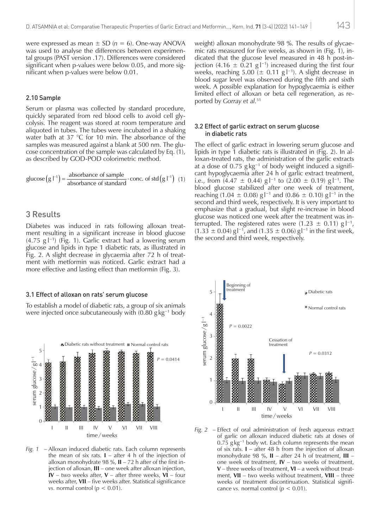were expressed as mean  $\pm$  SD ( $n = 6$ ). One-way ANOVA was used to analyse the differences between experimental groups (PAST version .17). Differences were considered significant when p-values were below 0.05, and more significant when p-values were below 0.01.

#### 2.10 Sample

Serum or plasma was collected by standard procedure, quickly separated from red blood cells to avoid cell glycolysis. The reagent was stored at room temperature and aliquoted in tubes. The tubes were incubated in a shaking water bath at 37 °C for 10 min. The absorbance of the samples was measured against a blank at 500 nm. The glucose concentration of the sample was calculated by Eq. (1), as described by GOD-POD colorimetric method.

glucose 
$$
(g l^{-1}) = \frac{\text{absorbance of sample}}{\text{absorbance of standard}} \cdot \text{conc. of std} (g l^{-1})
$$
 (1)

### 3 Results

Diabetes was induced in rats following alloxan treatment resulting in a significant increase in blood glucose (4.75 g l −1) (Fig. 1). Garlic extract had a lowering serum glucose and lipids in type 1 diabetic rats, as illustrated in Fig. 2. A slight decrease in glycaemia after 72 h of treatment with metformin was noticed. Garlic extract had a more effective and lasting effect than metformin (Fig. 3).

### 3.1 Effect of alloxan on rats' serum glucose

To establish a model of diabetic rats, a group of six animals were injected once subcutaneously with (0.80 g kg−1 body



*Fig. 1* – Alloxan induced diabetic rats. Each column represents the mean of six rats.  $I -$  after 4 h of the injection of alloxan monohydrate 98 %, **II** – 72 h after of the first injection of alloxan, **III** – one week after alloxan injection, **IV** – two weeks after, **V** – after three weeks, **VI** – four weeks after, **VII** – five weeks after. Statistical significance *vs.* normal control ( $p < 0.01$ ).

weight) alloxan monohydrate 98 %. The results of glycaemic rats measured for five weeks, as shown in (Fig. 1), indicated that the glucose level measured in 48 h post-injection (4.16  $\pm$  0.21 g |<sup>-1</sup>) increased during the first four weeks, reaching  $5.00 \ (\pm 0.11 \text{ g l}^{-1})$ . A slight decrease in blood sugar level was observed during the fifth and sixth week. A possible explanation for hypoglycaemia is either limited effect of alloxan or beta cell regeneration, as reported by *Gorray et al.*<sup>51</sup>

### 3.2 Effect of garlic extract on serum glucose in diabetic rats

The effect of garlic extract in lowering serum glucose and lipids in type 1 diabetic rats is illustrated in (Fig. 2). In alloxan-treated rats, the administration of the garlic extracts at a dose of  $0.75$  g kg<sup>-1</sup> of body weight induced a significant hypoglycaemia after 24 h of garlic extract treatment, i.e., from  $(4.47 \pm 0.44)$  g  $^{-1}$  to  $(2.00 \pm 0.19)$  g  $^{-1}$ . The blood glucose stabilized after one week of treatment, reaching  $(1.04 \pm 0.08)$  g l<sup>-1</sup> and  $(0.86 \pm 0.10)$  g l<sup>-1</sup> in the second and third week, respectively. It is very important to emphasize that a gradual, but slight re-increase in blood glucose was noticed one week after the treatment was interrupted. The registered rates were  $(1.23 \pm 0.11)$  g  $\vert^{-1}$ ,  $(1.33 \pm 0.04)$  g<sup>-1</sup>, and  $(1.35 \pm 0.06)$  g<sup>-1</sup> in the first week, the second and third week, respectively.



*Fig. 2* – Effect of oral administration of fresh aqueous extract of garlic on alloxan induced diabetic rats at doses of 0.75 g kg−1 body wt. Each column represents the mean of six rats. **I** – after 48 h from the injection of alloxan monohydrate 98 %, **II** – after 24 h of treatment, **III** – one week of treatment, **IV** – two weeks of treatment, **V** – three weeks of treatment, **VI** – a week without treatment, **VII** – two weeks without treatment, **VIII** – three weeks of treatment discontinuation. Statistical significance *vs.* normal control ( $p < 0.01$ ).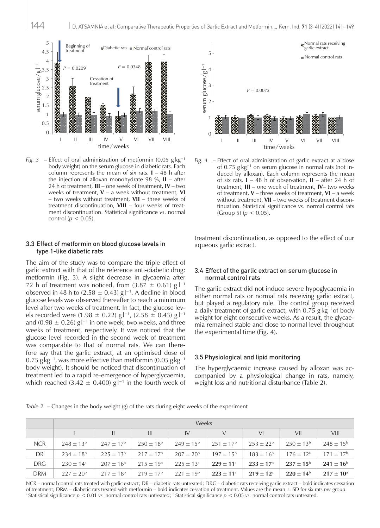

*Fig.* 3 – Effect of oral administration of metformin (0.05 g kg<sup>-1</sup>) body weight) on the serum glucose in diabetic rats. Each column represents the mean of six rats. **I** – 48 h after the injection of alloxan monohydrate 98 %, **II** – after 24 h of treatment, **III** – one week of treatment**, IV** – two weeks of treatment, **V** – a week without treatment, **VI** – two weeks without treatment, **VII** – three weeks of treatment discontinuation, **VIII** – four weeks of treatment discontinuation. Statistical significance *vs*. normal control ( $p < 0.05$ ).

### 3.3 Effect of metformin on blood glucose levels in type 1-like diabetic rats

The aim of the study was to compare the triple effect of garlic extract with that of the reference anti-diabetic drug: metformin (Fig. 3). A slight decrease in glycaemia after 72 h of treatment was noticed, from  $(3.87 \pm 0.61)$  g  $^{-1}$ observed in 48 h to (2.58  $\pm$  0.43) g l<sup>-1</sup>. A decline in blood glucose levels was observed thereafter to reach a minimum level after two weeks of treatment. In fact, the glucose levels recorded were (1.98  $\pm$  0.22) g l<sup>-1</sup>, (2.58  $\pm$  0.43) g l<sup>-1</sup> and (0.98  $\pm$  0.26) g|<sup>-1</sup> in one week, two weeks, and three weeks of treatment, respectively. It was noticed that the glucose level recorded in the second week of treatment was comparable to that of normal rats. We can therefore say that the garlic extract, at an optimised dose of  $0.75$  g kg<sup>-1</sup>, was more effective than metformin (0.05 g kg<sup>-1</sup> body weight). It should be noticed that discontinuation of treatment led to a rapid re-emergence of hyperglycaemia, which reached (3.42  $\pm$  0.400) g  $l^{-1}$  in the fourth week of



*Fig. 4* – Effect of oral administration of garlic extract at a dose of 0.75 g kg−1 on serum glucose in normal rats (not induced by alloxan). Each column represents the mean of six rats. **I** – 48 h of observation, **II** – after 24 h of treatment, **III** – one week of treatment, **IV**– two weeks of treatment, **V** – three weeks of treatment, **VI** – a week without treatment, **VII** – two weeks of treatment discontinuation. Statistical significance *vs.* normal control rats (Group 5) ( $p < 0.05$ ).

treatment discontinuation, as opposed to the effect of our aqueous garlic extract.

### 3.4 Effect of the garlic extract on serum glucose in normal control rats

The garlic extract did not induce severe hypoglycaemia in either normal rats or normal rats receiving garlic extract, but played a regulatory role. The control group received a daily treatment of garlic extract, with 0.75 g kg−1of body weight for eight consecutive weeks. As a result, the glycaemia remained stable and close to normal level throughout the experimental time (Fig. 4).

#### 3.5 Physiological and lipid monitoring

The hyperglycaemic increase caused by alloxan was accompanied by a physiological change in rats, namely, weight loss and nutritional disturbance (Table 2).

| Table 2 |  |  |  |  |  |  |  |  |  |  |  |  |  |  | $\angle$ – Changes in the body weight (g) of the rats during eight weeks of the experiment |
|---------|--|--|--|--|--|--|--|--|--|--|--|--|--|--|--------------------------------------------------------------------------------------------|
|---------|--|--|--|--|--|--|--|--|--|--|--|--|--|--|--------------------------------------------------------------------------------------------|

|            | <b>Weeks</b>         |                      |                    |                      |                      |                         |                      |                      |  |  |  |  |
|------------|----------------------|----------------------|--------------------|----------------------|----------------------|-------------------------|----------------------|----------------------|--|--|--|--|
|            |                      | Ш.                   | $\mathbf{III}$     | IV                   | V                    | VI                      | VII                  | <b>VIII</b>          |  |  |  |  |
| <b>NCR</b> | $248 \pm 13^{6}$     | $247 \pm 17^{\rm b}$ | $250 \pm 18^{6}$   | $249 \pm 15^{6}$     | $251 \pm 17^{\rm b}$ | $253 \pm 22^{b}$        | $250 \pm 13^{6}$     | $248 \pm 15^{6}$     |  |  |  |  |
| DR         | $234 \pm 18^{6}$     | $225 + 13^{b}$       | $217 \pm 17^{b}$   | $207 \pm 20^{6}$     | $197 \pm 15^{6}$     | $183 \pm 16^6$          | $176 \pm 12^{\circ}$ | $171 \pm 17^{\rm b}$ |  |  |  |  |
| <b>DRG</b> | $230 \pm 14^{\circ}$ | $207 \pm 16^{\circ}$ | $215 \pm 19^{6}$   | $225 \pm 13^{\circ}$ | $229 \pm 11^{\circ}$ | $233 \pm 17^6$          | $237 \pm 15^{\rm b}$ | $241 \pm 16^{\rm b}$ |  |  |  |  |
| <b>DRM</b> | $227 \pm 20^{6}$     | $217 + 18^{b}$       | $219 + 17^{\rm b}$ | $221 + 19^{b}$       | $223 \pm 11^{\circ}$ | $219 + 12$ <sup>a</sup> | $220 + 14^{b}$       | $217 \pm 10^{\rm a}$ |  |  |  |  |

NCR – normal control rats treated with garlic extract; DR – diabetic rats untreated; DRG – diabetic rats receiving garlic extract – bold indicates cessation of treatment; DRM – diabetic rats treated with metformin – bold indicates cessation of treatment. Values are the mean ± SD for six rats *per* group. <sup>a</sup> Statistical significance  $p < 0.01$  vs. normal control rats untreated; <sup>b</sup> Statistical significance  $p < 0.05$  vs. normal control rats untreated.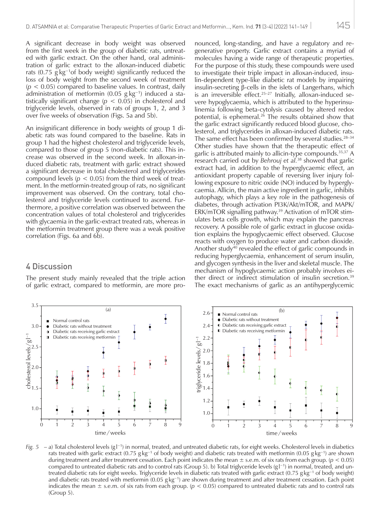A significant decrease in body weight was observed from the first week in the group of diabetic rats, untreated with garlic extract. On the other hand, oral administration of garlic extract to the alloxan-induced diabetic rats  $(0.75 \text{ g kg}^{-1} \text{ of body weight})$  significantly reduced the loss of body weight from the second week of treatment (*p* < 0.05) compared to baseline values. In contrast, daily administration of metformin (0.05 g kg−1) induced a statistically significant change (*p* < 0.05) in cholesterol and triglyceride levels, observed in rats of groups 1, 2, and 3 over five weeks of observation (Figs. 5a and 5b).

An insignificant difference in body weights of group 1 diabetic rats was found compared to the baseline. Rats in group 1 had the highest cholesterol and triglyceride levels, compared to those of group 5 (non-diabetic rats). This increase was observed in the second week. In alloxan-induced diabetic rats, treatment with garlic extract showed a significant decrease in total cholesterol and triglycerides compound levels ( $p < 0.05$ ) from the third week of treatment. In the metformin-treated group of rats, no significant improvement was observed. On the contrary, total cholesterol and triglyceride levels continued to ascend. Furthermore, a positive correlation was observed between the concentration values of total cholesterol and triglycerides with glycaemia in the garlic-extract treated rats, whereas in the metformin treatment group there was a weak positive correlation (Figs. 6a and 6b).

### 4 Discussion

The present study mainly revealed that the triple action of garlic extract, compared to metformin, are more pronounced, long-standing, and have a regulatory and regenerative property. Garlic extract contains a myriad of molecules having a wide range of therapeutic properties. For the purpose of this study, these compounds were used to investigate their triple impact in alloxan-induced, insulin-dependent type-like diabetic rat models by impairing insulin-secreting β-cells in the islets of Langerhans, which is an irreversible effect.<sup>25-27</sup> Initially, alloxan-induced severe hypoglycaemia, which is attributed to the hyperinsulinemia following beta-cytolysis caused by altered redox potential, is ephemeral.<sup>26</sup> The results obtained show that the garlic extract significantly reduced blood glucose, cholesterol, and triglycerides in alloxan-induced diabetic rats. The same effect has been confirmed by several studies.<sup>28-34</sup> Other studies have shown that the therapeutic effect of garlic is attributed mainly to allicin-type compounds.35,37 A research carried out by *Behrouj et al.*<sup>38</sup> showed that garlic extract had, in addition to the hyperglycaemic effect, an antioxidant property capable of reversing liver injury following exposure to nitric oxide (NO) induced by hyperglycaemia. Allicin, the main active ingredient in garlic, inhibits autophagy, which plays a key role in the pathogenesis of diabetes, through activation PI3K/Akt/mTOR, and MAPK/ ERK/mTOR signalling pathway.39 Activation of mTOR stimulates beta cells growth, which may explain the pancreas recovery. A possible role of garlic extract in glucose oxidation explains the hypoglycaemic effect observed. Glucose reacts with oxygen to produce water and carbon dioxide. Another study<sup>40</sup> revealed the effect of garlic compounds in reducing hyperglycaemia, enhancement of serum insulin, and glycogen synthesis in the liver and skeletal muscle. The mechanism of hypoglycaemic action probably involves either direct or indirect stimulation of insulin secretion.39 The exact mechanisms of garlic as an antihyperglycemic



*Fig. 5* – a) Total cholesterol levels (g l<sup>−1</sup>) in normal, treated, and untreated diabetic rats, for eight weeks. Cholesterol levels in diabetics rats treated with garlic extract (0.75 g kg<sup>-1</sup> of body weight) and diabetic rats treated with metformin (0.05 g kg<sup>-1</sup>) are shown during treatment and after treatment cessation. Each point indicates the mean ± s.e.m. of six rats from each group. (*p* < 0.05) compared to untreated diabetic rats and to control rats (Group 5). b) Total triglyceride levels (gl<sup>−1</sup>) in normal, treated, and untreated diabetic rats for eight weeks. Triglyceride levels in diabetic rats treated with garlic extract (0.75 g kg<sup>-1</sup> of body weight) and diabetic rats treated with metformin (0.05  $g kg^{-1}$ ) are shown during treatment and after treatment cessation. Each point indicates the mean  $\pm$  s.e.m. of six rats from each group. ( $p < 0.05$ ) compared to untreated diabetic rats and to control rats (Group 5).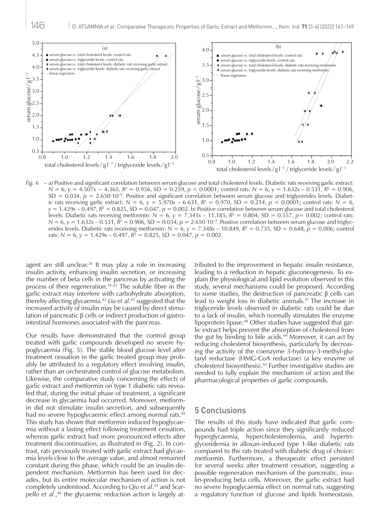

*Fig. 6* – a) Positive and significant correlation between serum glucose and total cholesterol levels. Diabetic rats receiving garlic extract: *N* = 6, *y* = 4.507*x* − 4.365,  $R^2$  = 0.956, SD = 0.259, *p* < 0.0001; control rats: *N* = 6, *y* = 1.632*x* − 0.531,  $R^2$  = 0.906, SD = 0.034, *p* = 2.650∙10–4. Positive and significant correlation between serum glucose and triglycerides levels. Diabetic rats receiving garlic extract:  $N = 6$ ,  $y = 5.970x - 6.631$ ,  $R^2 = 0.970$ ,  $SD = 0.214$ ,  $p < 0.0001$ ; control rats:  $N = 6$ ,  $y = 1.429x - 0.497$ ,  $R^2 = 0.825$ ,  $SD = 0.047$ ,  $p = 0.002$ . b) Positive correlation between serum glucose and total cholesterol levels. Diabetic rats receiving metformin:  $N = 6$ ,  $y = 7.341x - 11.185$ ,  $R^2 = 0.804$ ,  $SD = 0.557$ ,  $p = 0.002$ ; control rats: *N* = 6, *y* = 1.632*x* – 0.531,  $\overline{R}$ <sup>2</sup> = 0.906, SD = 0.034, *p* = 2.650⋅10<sup>-4</sup>. Positive correlation between serum glucose and triglycerides levels. Diabetic rats receiving metformin: *N* = 6, *y* = 7.348*x* – 10.849, *R*<sup>2</sup> = 0.735, SD = 0.648, *p* = 0.006; control rats:  $N = 6$ ,  $y = 1.429x - 0.497$ ,  $R^2 = 0.825$ , SD = 0.047,  $p = 0.002$ .

agent are still unclear.<sup>36</sup> It may play a role in increasing insulin activity, enhancing insulin secretion, or increasing the number of beta cells in the pancreas by activating the process of their regeneration.<sup>41,42</sup> The soluble fibre in the garlic extract may interfere with carbohydrate absorption, thereby affecting glycaemia.<sup>43</sup> *Liu et al.*<sup>41</sup> suggested that the increased activity of insulin may be caused by direct stimulation of pancreatic β cells or indirect production of gastrointestinal hormones associated with the pancreas.

Our results have demonstrated that the control group treated with garlic compounds developed no severe hypoglycaemia (Fig. 5). The stable blood glucose level after treatment cessation in the garlic treated group may probably be attributed to a regulatory effect involving insulin, rather than an orchestrated control of glucose metabolism. Likewise, the comparative study concerning the effects of garlic extract and metformin on type 1 diabetic rats revealed that, during the initial phase of treatment, a significant decrease in glycaemia had occurred. Moreover, metformin did not stimulate insulin secretion, and subsequently had no severe hypoglycaemic effect among normal rats.<sup>44</sup> This study has shown that metformin induced hypoglycaemia without a lasting effect following treatment cessation, whereas garlic extract had more pronounced effects after treatment discontinuation, as illustrated in (Fig. 2). In contrast, rats previously treated with garlic extract had glycaemia levels close to the average value, and almost remained constant during this phase, which could be an insulin-dependent mechanism. Metformin has been used for decades, but its entire molecular mechanism of action is not completely understood. According to *Qiu et al.*45 and *Scarpello et al.*, 46 the glycaemic reduction action is largely attributed to the improvement in hepatic insulin resistance, leading to a reduction in hepatic gluconeogenesis. To explain the physiological and lipid evolution observed in this study, several mechanisms could be proposed. According to some studies, the destruction of pancreatic β cells can lead to weight loss in diabetic animals.47 The increase in triglyceride levels observed in diabetic rats could be due to a lack of insulin, which normally stimulates the enzyme lipoprotein lipase.<sup>48</sup> Other studies have suggested that garlic extract helps prevent the absorption of cholesterol from the gut by binding to bile acids. $49$  Moreover, it can act by reducing cholesterol biosynthesis, particularly by decreasing the activity of the coenzyme 3-hydroxy-3-methyl-glutaryl reductase (HMG-CoA reductase) (a key enzyme of cholesterol biosynthesis).50 Further investigative studies are needed to fully explain the mechanism of action and the pharmacological properties of garlic compounds.

### 5 Conclusions

The results of this study have indicated that garlic compounds had triple action since they significantly reduced hyperglycaemia, hypercholesterolemia, and hypertriglyceridemia in alloxan-induced type 1-like diabetic rats compared to the rats treated with diabetic drug of choice: metformin. Furthermore, a therapeutic effect persisted for several weeks after treatment cessation, suggesting a possible regeneration mechanism of the pancreatic, insulin-producing beta cells. Moreover, the garlic extract had no severe hypoglycaemia effect on normal rats, suggesting a regulatory function of glucose and lipids homeostasis.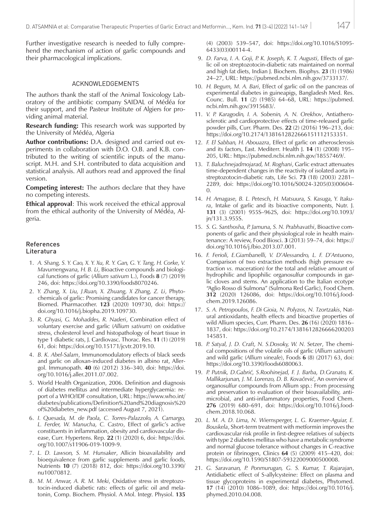Further investigative research is needed to fully comprehend the mechanism of action of garlic compounds and their pharmacological implications.

### ACKNOWLEDGEMENTS

The authors thank the staff of the Animal Toxicology Laboratory of the antibiotic company SAIDAL of Médéa for their support, and the Pasteur Institute of Algiers for providing animal material.

**Research funding:** This research work was supported by the University of Médéa, Algeria

**Author contributions:** D.A. designed and carried out experiments in collaboration with D.O. O.B. and K.B. contributed to the writing of scientific inputs of the manuscript. M.H. and S.H. contributed to data acquisition and statistical analysis. All authors read and approved the final version.

**Competing interest:** The authors declare that they have no competing interests.

**Ethical approval**: This work received the ethical approval from the ethical authority of the University of Médéa, Algeria.

#### References Literatura

- 1. *A. Shang, S. Y. Cao, X. Y. Xu, R. Y. Gan, G. Y. Tang, H. Corke, V. Mavumengwana, H. B. Li*, Bioactive compounds and biological functions of garlic (*Allium sativum* L.), Foods **8** (7) (2019) 246, doi:<https://doi.org/10.3390/foods8070246>.
- 2. *Y. Zhang, X. Liu, J.Ruan, X. Zhuang, X Zhang, Z. Li*, Phytochemicals of garlic: Promising candidates for cancer therapy, Biomed. Pharmacother. **123** (2020) 109730, doi: [https://](https://doi.org/10.1016/j.biopha.2019.109730) [doi.org/10.1016/j.biopha.2019.109730](https://doi.org/10.1016/j.biopha.2019.109730).
- 3. *R. Ghyasi, G. Mohaddes, R. Naderi*, Combination effect of voluntary exercise and garlic (*Allium sativum*) on oxidative stress, cholesterol level and histopathology of heart tissue in type 1 diabetic rats, J. Cardiovasc. Thorac. Res. **11** (1) (2019) 61, doi:<https://doi.org/10.15171/jcvtr.2019.10>.
- 4. *B. K. Abel-Salam*, Immunomodulatory effects of black seeds and garlic on alloxan-induced diabetes in albino rat, Allergol. Immunopath. **40** (6) (2012) 336–340, doi: [https://doi.](https://doi.org/10.1016/j.aller.2011.07.002) [org/10.1016/j.aller.2011.07.002](https://doi.org/10.1016/j.aller.2011.07.002).
- 5. World Health Organization, 2006. Definition and diagnosis of diabetes mellitus and intermediate hyperglycaemia: report of a WHO/IDF consultation, URL: [https://www.who.int/](https://www.who.int/diabetes/publications/Definition%20and%20diagnosis%20of%20diabetes_new.pdf) [diabetes/publications/Definition%20and%20diagnosis%20](https://www.who.int/diabetes/publications/Definition%20and%20diagnosis%20of%20diabetes_new.pdf) [of%20diabetes\\_new.pdf](https://www.who.int/diabetes/publications/Definition%20and%20diagnosis%20of%20diabetes_new.pdf) (accessed August 7, 2021).
- 6. *I. Quesada, M. de Paola, C. Torres-Palazzolo, A. Camargo, L. Ferder, W. Manucha, C. Castro*, Effect of garlic's active constituents in inflammation, obesity and cardiovascular disease, Curr. Hypertens. Rep. **22** (1) (2020) 6, doi: [https://doi.](https://doi.org/10.1007/s11906-019-1009-9) [org/10.1007/s11906-019-1009-9](https://doi.org/10.1007/s11906-019-1009-9).
- 7. *L. D. Lawson, S. M. Hunsaker*, Allicin bioavailability and bioequivalence from garlic supplements and garlic foods, Nutrients **10** (7) (2018) 812, doi: [https://doi.org/10.3390/](https://doi.org/10.3390/nu10070812) [nu10070812](https://doi.org/10.3390/nu10070812).
- 8. *M. M. Anwar, A. R. M. Meki*, Oxidative stress in streptozotocin-induced diabetic rats: effects of garlic oil and melatonin, Comp. Biochem. Physiol. A Mol. Integr. Physiol. **135**

(4) (2003) 539–547, doi: [https://doi.org/10.1016/S1095-](https://doi.org/10.1016/S1095-6433(03)00114-4) [6433\(03\)00114-4](https://doi.org/10.1016/S1095-6433(03)00114-4).

- 9. *D. Farva, I. A. Goji, P. K. Joseph, K. T. Augusti*, Effects of garlic oil on streptozotocin-diabetic rats maintained on normal and high fat diets, Indian J. Biochem. Biophys. **23** (1) (1986) 24–27, URL: <https://pubmed.ncbi.nlm.nih.gov/3733137/>.
- 10. *H. Begum, M. A. Bari*, Effect of garlic oil on the pancreas of experimental diabetes in guineapigs, Bangladesh Med. Res. Counc. Bull. **11** (2) (1985) 64–68, URL: [https://pubmed.](https://pubmed.ncbi.nlm.nih.gov/3915683/) [ncbi.nlm.nih.gov/3915683/](https://pubmed.ncbi.nlm.nih.gov/3915683/).
- 11. *V. P. Karagodin, I. A. Sobenin, A. N. Orekhov*, Antiatherosclerotic and cardioprotective effects of time-released garlic powder pills, Curr. Pharm. Des. **22** (2) (2016) 196–213, doi: <https://doi.org/10.2174/1381612822666151112153351>.
- 12. *F. El Sabban, H. Abouazra*, Effect of garlic on atherosclerosis and its factors, East. Mediterr. Health J. **14** (1) (2008) 195– 205, URL:<https://pubmed.ncbi.nlm.nih.gov/18557469/>.
- 13. *T. Baluchnejadmojarad, M. Roghani*, Garlic extract attenuates time-dependent changes in the reactivity of isolated aorta in streptozotocin-diabetic rats, Life Sci. **73** (18) (2003) 2281– 2289, doi: [https://doi.org/10.1016/S0024-3205\(03\)00604-](https://doi.org/10.1016/S0024-3205(03)00604-0)  $\Omega$
- 14. *H. Amagase, B. L. Petesch, H. Matsuura, S. Kasuga, Y. Itakura*, Intake of garlic and its bioactive components, Nutr. J. **131** (3) (2001) 955S–962S, doi: [https://doi.org/10.1093/](https://doi.org/10.1093/jn/131.3.955S) [jn/131.3.955S](https://doi.org/10.1093/jn/131.3.955S).
- 15. *S. G. Santhosha, P. Jamuna, S. N. Prabhavathi*, Bioactive components of garlic and their physiological role in health maintenance: A review, Food Biosci. **3** (2013) 59–74, doi: [https://](https://doi.org/10.1016/j.fbio.2013.07.001) [doi.org/10.1016/j.fbio.2013.07.001](https://doi.org/10.1016/j.fbio.2013.07.001).
- 16. *F. Ferioli, E.Giambanelli, V. D'Alessandro, L. F. D'Antuono*, Comparison of two extraction methods (high pressure extraction *vs.* maceration) for the total and relative amount of hydrophilic and lipophilic organosulfur compounds in garlic cloves and stems. An application to the Italian ecotype "Aglio Rosso di Sulmona" (Sulmona Red Garlic), Food Chem. **312** (2020) 126086, doi: [https://doi.org/10.1016/j.food](https://doi.org/10.1016/j.foodchem.2019.126086)[chem.2019.126086](https://doi.org/10.1016/j.foodchem.2019.126086).
- 17. *S. A. Petropoulos, F. Di Gioia, N. Polyzos, N. Tzortzakis*, Natural antioxidants, health effects and bioactive properties of wild Allium species, Curr. Pharm. Des. **26** (16) (2020) 1816– 1837, doi: [https://doi.org/10.2174/1381612826666200203](https://doi.org/10.2174/1381612826666200203145851) [145851](https://doi.org/10.2174/1381612826666200203145851).
- 18. *P. Satyal, J. D. Craft, N. S.Dosoky, W. N. Setzer*, The chemical compositions of the volatile oils of garlic (*Allium sativum*) and wild garlic (*Allium vineale*), Foods **6** (8) (2017) 63, doi: <https://doi.org/10.3390/foods6080063>.
- 19. *P. Putnik, D.Gabrić, S.Roohinejad, F. J. Barba, D.Granato, K. Mallikarjunan, J. M. Lorenzo, D. B. Kovačević*, An overview of organosulfur compounds from Allium spp.: From processing and preservation to evaluation of their bioavailability, antimicrobial, and anti-inflammatory properties, Food Chem. **276** (2019) 680–691, doi: [https://doi.org/10.1016/j.food](https://doi.org/10.1016/j.foodchem.2018.10.068)[chem.2018.10.068](https://doi.org/10.1016/j.foodchem.2018.10.068).
- 20. *L. M. A. D. Lima, N. Wiernsperger, L. G. Kraemer-Aguiar, E. Bouskela*, Short-term treatment with metformin improves the cardiovascular risk profile in first-degree relatives of subjects with type 2 diabetes mellitus who have a metabolic syndrome and normal glucose tolerance without changes in C-reactive protein or fibrinogen, Clinics **64** (5) (2009) 415–420, doi: <https://doi.org/10.1590/S1807-59322009000500008>.
- 21. *G. Saravanan, P. Ponmurugan, G. S. Kumar, T. Rajarajan*, Antidiabetic effect of S-allylcysteine: Effect on plasma and tissue glycoproteins in experimental diabetes, Phytomed. **17** (14) (2010) 1086–1089, doi: [https://doi.org/10.1016/j.](https://doi.org/10.1016/j.phymed.2010.04.008) [phymed.2010.04.008](https://doi.org/10.1016/j.phymed.2010.04.008).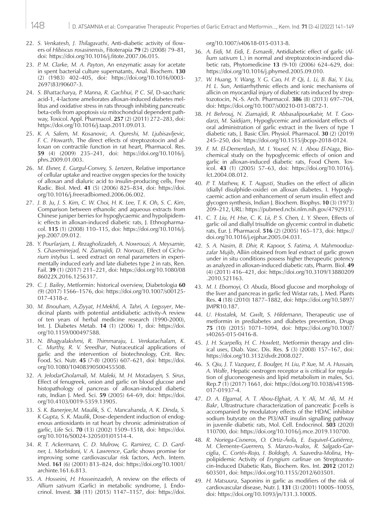- 22. *S. Venkatesh, J. Thilagavathi*, Anti-diabetic activity of flowers of *Hibiscus rosasinensis*, Fitoterapia **79** (2) (2008) 79–81, doi:<https://doi.org/10.1016/j.fitote.2007.06.015>.
- 23. *P. M. Clarke, M. A. Payton*, An enzymatic assay for acetate in spent bacterial culture supernatants, Anal. Biochem. **130** (2) (1983) 402–405, doi: [https://doi.org/10.1016/0003-](https://doi.org/10.1016/0003-2697(83)90607-3) [2697\(83\)90607-3](https://doi.org/10.1016/0003-2697(83)90607-3).
- 24. *S. Bhattacharya, P. Manna, R. Gachhui, P. C. Sil*, D-saccharic acid-1, 4-lactone ameliorates alloxan-induced diabetes mellitus and oxidative stress in rats through inhibiting pancreatic beta-cells from apoptosis *via* mitochondrial dependent pathway, Toxicol. Appl. Pharmacol. **257** (2) (2011) 272–283, doi: <https://doi.org/10.1016/j.taap.2011.09.013>.
- 25. *K. A. Salem, M. Kosanovic, A. Qureshi, M. Ljubisavljevic, F. C. Howarth*, The direct effects of streptozotocin and alloxan on contractile function in rat heart, Pharmacol. Res. **59** (4) (2009) 235–241, doi: [https://doi.org/10.1016/j.](https://doi.org/10.1016/j.phrs.2009.01.003) [phrs.2009.01.003](https://doi.org/10.1016/j.phrs.2009.01.003).
- 26. *M. Elsner, E. Gurgul-Convey, S. Lenzen*, Relative importance of cellular uptake and reactive oxygen species for the toxicity of alloxan and dialuric acid to insulin-producing cells, Free Radic. Biol. Med. **41** (5) (2006) 825–834, doi: [https://doi.](https://doi.org/10.1016/j.freeradbiomed.2006.06.002) [org/10.1016/j.freeradbiomed.2006.06.002](https://doi.org/10.1016/j.freeradbiomed.2006.06.002).
- 27. *J. B. Ju, J. S. Kim, C. W. Choi, H. K. Lee, T. K. Oh, S. C*. *Kim*, Comparison between ethanolic and aqueous extracts from Chinese juniper berries for hypoglycaemic and hypolipidemic effects in alloxan-induced diabetic rats, J. Ethnopharmacol. **115** (1) (2008) 110–115, doi: [https://doi.org/10.1016/j.](https://doi.org/10.1016/j.jep.2007.09.012) [jep.2007.09.012](https://doi.org/10.1016/j.jep.2007.09.012).
- 28. *Y. Pourfarjam, L. Rezagholizadeh, A. Nowrouzi, A. Meysamie, S. Ghaseminejad, N. Ziamajidi, D. Norouzi*, Effect of *Cichorium intybus* L. seed extract on renal parameters in experimentally induced early and late diabetes type 2 in rats, Ren. Fail. **39** (1) (2017) 211–221, doi: [https://doi.org/10.1080/08](https://doi.org/10.1080/0886022X.2016.1256317) [86022X.2016.1256317](https://doi.org/10.1080/0886022X.2016.1256317).
- 29. *C. J. Bailey*, Metformin: historical overview, Diabetologia **60** (9) (2017) 1566–1576, doi: [https://doi.org/10.1007/s00125-](https://doi.org/10.1007/s00125-017-4318-z) [017-4318-z](https://doi.org/10.1007/s00125-017-4318-z).
- 30. *M. Bnouham, A.Ziyyat, H.Mekhfi, A. Tahri, A. Legssyer*, Medicinal plants with potential antidiabetic activity-A review of ten years of herbal medicine research (1990-2000), Int. J. Diabetes Metab. **14** (1) (2006) 1, doi: [https://doi.](https://doi.org/10.1159/000497588) [org/10.1159/000497588](https://doi.org/10.1159/000497588).
- 31. *N. Bhagyalakshmi, R. Thimmaraju, L. Venkatachalam, K. C. Murthy, R. V. Sreedhar*, Nutraceutical applications of garlic and the intervention of biotechnology, Crit. Rev. Food. Sci. Nutr. **45** (7-8) (2005) 607–621, doi: [https://doi.](https://doi.org/10.1080/10408390500455508) [org/10.1080/10408390500455508](https://doi.org/10.1080/10408390500455508).
- 32. *A. JelodarGholamali, M. Maleki, M. H. Motadayen, S. Sirus*, Effect of fenugreek, onion and garlic on blood glucose and histopathology of pancreas of alloxan-induced diabetic rats, Indian J. Med. Sci. **59** (2005) 64–69, doi: [https://doi.](https://doi.org/10.4103/0019-5359.13905) [org/10.4103/0019-5359.13905](https://doi.org/10.4103/0019-5359.13905).
- 33. *S. K. Banerjee,M. Maulik, S. C. Mancahanda, A. K. Dinda, S. K Gupta, S. K. Maulik*, Dose-dependent induction of endogenous antioxidants in rat heart by chronic administration of garlic, Life Sci. **70** (13) (2002) 1509–1518, doi: [https://doi.](https://doi.org/10.1016/S0024-3205(01)01514-4) [org/10.1016/S0024-3205\(01\)01514-4](https://doi.org/10.1016/S0024-3205(01)01514-4).
- 34. *R. T. Ackermann, C. D. Mulrow, G. Ramirez, C. D. Gardner, L. Morbidoni, V. A. Lawrence*, Garlic shows promise for improving some cardiovascular risk factors, Arch. Intern. Med. **161** (6) (2001) 813–824, doi: [https://doi.org/10.1001/](https://doi.org/10.1001/archinte.161.6.813) [archinte.161.6.813](https://doi.org/10.1001/archinte.161.6.813).
- 35. *A. Hosseini, H. Hosseinzadeh,* A review on the effects of *Allium sativum* (Garlic) in metabolic syndrome, J. Endocrinol. Invest. **38** (11) (2015) 1147–1157, doi: [https://doi.](https://doi.org/10.1007/s40618-015-0313-8)

[org/10.1007/s40618-015-0313-8](https://doi.org/10.1007/s40618-015-0313-8).

- 36. *A. Eidi, M. Eidi, E. Esmaeili*, Antidiabetic effect of garlic (*Allium sativum* L.) in normal and streptozotocin-induced diabetic rats, Phytomedicine **13** (9-10) (2006) 624–629, doi: <https://doi.org/10.1016/j.phymed.2005.09.010>.
- 37. *W. Huang, Y. Wang, Y. G. Cao, H. P. Qi, L. Li, B. Bai, Y. Liu, H. L. Sun*, Antiarrhythmic effects and ionic mechanisms of allicin on myocardial injury of diabetic rats induced by streptozotocin, N.-S. Arch. Pharmacol. **386** (8) (2013) 697–704, doi:<https://doi.org/10.1007/s00210-013-0872-1>.
- 38. *H. Behrouj, N. Ziamajidi, R. Abbasalipourkabir, M. T. Goodarzi, M. Saidijam*, Hypoglycemic and antioxidant effects of oral administration of garlic extract in the livers of type 1 diabetic rats, J. Basic Clin. Physiol. Pharmacol. **30** (2) (2019) 245–250, doi:<https://doi.org/10.1515/jbcpp-2018-0124>.
- 39. *F. M. El-Demerdash, M. I. Yousef, N. I. Abou El-Naga*, Biochemical study on the hypoglycemic effects of onion and garlic in alloxan-induced diabetic rats, Food Chem. Toxicol. **43** (1) (2005) 57–63, doi: [https://doi.org/10.1016/j.](https://doi.org/10.1016/j.fct.2004.08.012) [fct.2004.08.012](https://doi.org/10.1016/j.fct.2004.08.012).
- 40. *P. T. Mathew, K. T. Augusti*, Studies on the effect of allicin (diallyl disulphide-oxide) on alloxan diabetes. I. Hypoglycaemic action and enhancement of serum insulin effect and glycogen synthesis, Indian J. Biochem. Biophys. **10** (3) (1973) 209–212, URL:<https://pubmed.ncbi.nlm.nih.gov/4792931/>.
- 41. *C. T. Liu, H. Hse, C. K. Lii, P. S. Chen, L. Y. Sheen*, Effects of garlic oil and diallyl trisulfide on glycemic control in diabetic rats, Eur. J. Pharmacol. **516** (2) (2005) 165–173, doi: [https://](https://doi.org/10.1016/j.ejphar.2005.04.031) [doi.org/10.1016/j.ejphar.2005.04.031](https://doi.org/10.1016/j.ejphar.2005.04.031).
- 42. *S. A. Nasim, B. Dhir, R. Kapoor, S. Fatima, A. Mahmooduzzafar Mujib*, Alliin obtained from leaf extract of garlic grown under in situ conditions possess higher therapeutic potency as analyzed in alloxan-induced diabetic rats, Pharm. Biol. **49** (4) (2011) 416–421, doi: [https://doi.org/10.3109/13880209](https://doi.org/10.3109/13880209.2010.521163) [.2010.521163](https://doi.org/10.3109/13880209.2010.521163).
- 43. *M. I. Ebomoyi, O. Abuda*, Blood glucose and morphology of the liver and pancreas in garlic fed Wistar rats, J. Med. Plants Res. **4** (18) (2010) 1877–1882, doi: [https://doi.org/10.5897/](https://doi.org/10.5897/JMPR10.187) [JMPR10.187](https://doi.org/10.5897/JMPR10.187).
- 44. *U. Hostalek, M. Gwilt, S. Hildemann*, Therapeutic use of metformin in prediabetes and diabetes prevention, Drugs **75** (10) (2015) 1071–1094, doi: [https://doi.org/10.1007/](https://doi.org/10.1007/s40265-015-0416-8) [s40265-015-0416-8](https://doi.org/10.1007/s40265-015-0416-8).
- 45. *J. H. Scarpello, H. C. Howlett*, Metformin therapy and clinical uses, Diab. Vasc. Dis. Res. **5** (3) (2008) 157–167, doi: <https://doi.org/10.3132/dvdr.2008.027>.
- 46. *S. Qiu, J. T. Vazquez, E. Boulger, H. Liu, P. Xue, M. A. Hussain, A. Wolfe*, Hepatic oestrogen receptor α is critical for regulation of gluconeogenesis and lipid metabolism in males, Sci. Rep.**7** (1) (2017) 1661, doi: [https://doi.org/10.1038/s41598-](https://doi.org/10.1038/s41598-017-01937-4) [017-01937-4](https://doi.org/10.1038/s41598-017-01937-4).
- 47. *D. A. Elgamal, A. T. Abou-Elghait, A. Y. Ali, M. Ali, M. H. Bakr*, Ultrastructure characterization of pancreatic β-cells is accompanied by modulatory effects of the HDAC inhibitor sodium butyrate on the PI3/AKT insulin signalling pathway in juvenile diabetic rats, Mol. Cell. Endocrinol. **503** (2020) 110700, doi: <https://doi.org/10.1016/j.mce.2019.110700>.
- 48. *R. Noriega-Cisneros, O. Ortiz-Ávila, E. Esquivel-Gutiérrez, M. Clemente-Guerrero, S. Manzo-Avalos, R. Salgado-Garciglia*, *C. Cortés-Rojo, I. Boldogh, A. Saavedra-Molina,* Hypolipidemic Activity of *Eryngium carlinae* on Streptozotocin-Induced Diabetic Rats, Biochem. Res. Int. **2012** (2012) 603501, doi: <https://doi.org/10.1155/2012/603501>.
- 49. *H. Matsuura*, Saponins in garlic as modifiers of the risk of cardiovascular disease, Nutr. J. **131** (3) (2001) 1000S–1005S, doi:<https://doi.org/10.1093/jn/131.3.1000S>.